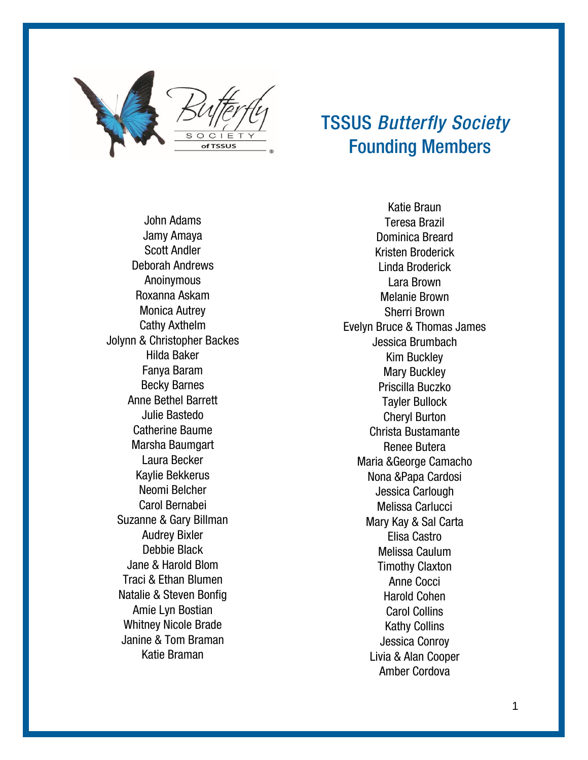

## TSSUS *Butterfly Society* Founding Members

John Adams Jamy Amaya Scott Andler Deborah Andrews Anoinymous Roxanna Askam Monica Autrey Cathy Axthelm Jolynn & Christopher Backes Hilda Baker Fanya Baram Becky Barnes Anne Bethel Barrett Julie Bastedo Catherine Baume Marsha Baumgart Laura Becker Kaylie Bekkerus Neomi Belcher Carol Bernabei Suzanne & Gary Billman Audrey Bixler Debbie Black Jane & Harold Blom Traci & Ethan Blumen Natalie & Steven Bonfig Amie Lyn Bostian Whitney Nicole Brade Janine & Tom Braman Katie Braman

Katie Braun Teresa Brazil Dominica Breard Kristen Broderick Linda Broderick Lara Brown Melanie Brown Sherri Brown Evelyn Bruce & Thomas James Jessica Brumbach Kim Buckley Mary Buckley Priscilla Buczko Tayler Bullock Cheryl Burton Christa Bustamante Renee Butera Maria &George Camacho Nona &Papa Cardosi Jessica Carlough Melissa Carlucci Mary Kay & Sal Carta Elisa Castro Melissa Caulum Timothy Claxton Anne Cocci Harold Cohen Carol Collins Kathy Collins Jessica Conroy Livia & Alan Cooper Amber Cordova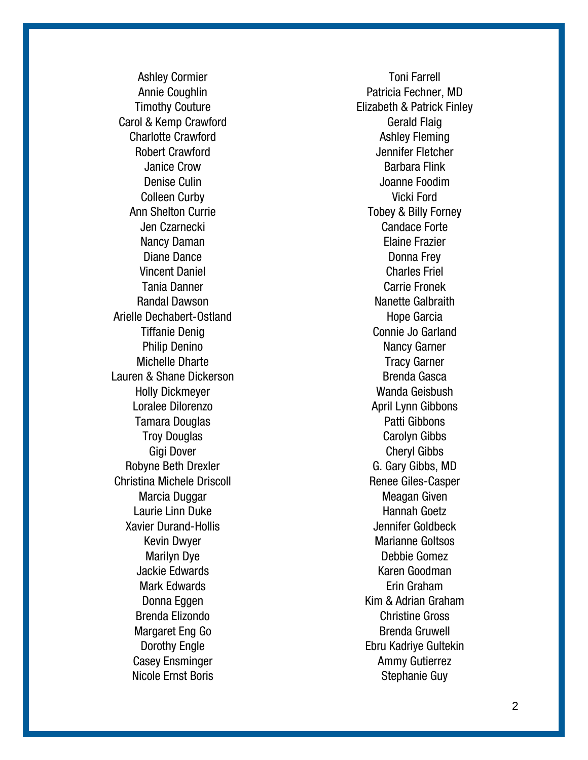Ashley Cormier Annie Coughlin Timothy Couture Carol & Kemp Crawford Charlotte Crawford Robert Crawford Janice Crow Denise Culin Colleen Curby Ann Shelton Currie Jen Czarnecki Nancy Daman Diane Dance Vincent Daniel Tania Danner Randal Dawson Arielle Dechabert -Ostland Tiffanie Denig Philip Denino Michelle Dharte Lauren & Shane Dickerson Holly Dickmeyer Loralee Dilorenzo Tamara Douglas Troy Douglas Gigi Dover Robyne Beth Drexler Christina Michele Driscoll Marcia Duggar Laurie Linn Duke Xavier Durand -Hollis Kevin Dwyer Marilyn Dye Jackie Edwards Mark Edwards Donna Eggen Brenda Elizondo Margaret Eng Go Dorothy Engle Casey Ensminger Nicole Ernst Boris

Toni Farrell Patricia Fechner, MD Elizabeth & Patrick Finley Gerald Flaig Ashley Fleming Jennifer Fletcher Barbara Flink Joanne Foodim Vicki Ford Tobey & Billy Forney Candace Forte Elaine Frazier Donna Frey Charles Friel Carrie Fronek Nanette Galbraith Hope Garcia Connie Jo Garland Nancy Garner Tracy Garner Brenda Gasca Wanda Geisbush April Lynn Gibbons Patti Gibbons Carolyn Gibbs Cheryl Gibbs G. Gary Gibbs, MD Renee Giles -Casper Meagan Given Hannah Goetz Jennifer Goldbeck Marianne Goltsos Debbie Gomez Karen Goodman Erin Graham Kim & Adrian Graham Christine Gross Brenda Gruwell Ebru Kadriye Gultekin Ammy Gutierrez Stephanie Guy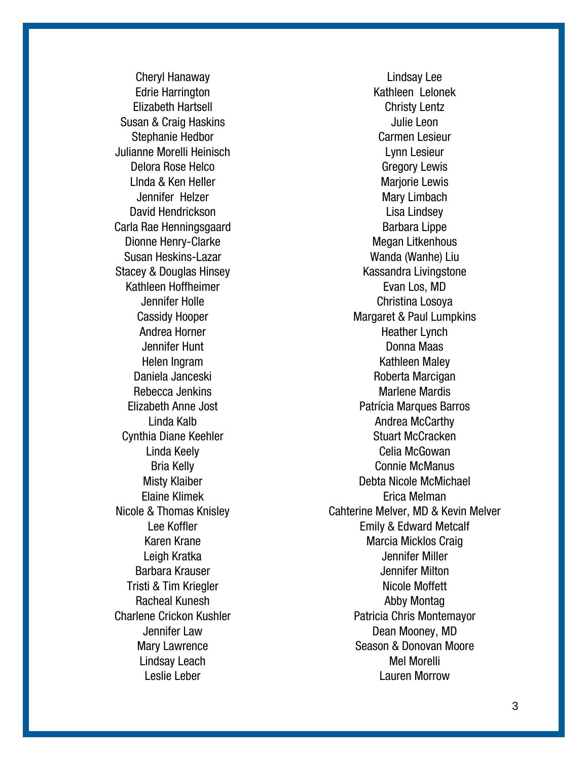Cheryl Hanaway Edrie Harrington Elizabeth Hartsell Susan & Craig Haskins Stephanie Hedbor Julianne Morelli Heinisch Delora Rose Helco Llnda & Ken Heller Jennifer Helzer David Hendrickson Carla Rae Henningsgaard Dionne Henry-Clarke Susan Heskins-Lazar Stacey & Douglas Hinsey Kathleen Hoffheimer Jennifer Holle Cassidy Hooper Andrea Horner Jennifer Hunt Helen Ingram Daniela Janceski Rebecca Jenkins Elizabeth Anne Jost Linda Kalb Cynthia Diane Keehler Linda Keely Bria Kelly Misty Klaiber Elaine Klimek Nicole & Thomas Knisley Lee Koffler Karen Krane Leigh Kratka Barbara Krauser Tristi & Tim Kriegler Racheal Kunesh Charlene Crickon Kushler Jennifer Law Mary Lawrence Lindsay Leach Leslie Leber

Lindsay Lee Kathleen Lelonek Christy Lentz Julie Leon Carmen Lesieur Lynn Lesieur Gregory Lewis Marjorie Lewis Mary Limbach Lisa Lindsey Barbara Lippe Megan Litkenhous Wanda (Wanhe) Liu Kassandra Livingstone Evan Los, MD Christina Losoya Margaret & Paul Lumpkins Heather Lynch Donna Maas Kathleen Maley Roberta Marcigan Marlene Mardis Patrícia Marques Barros Andrea McCarthy Stuart McCracken Celia McGowan Connie McManus Debta Nicole McMichael Erica Melman Cahterine Melver, MD & Kevin Melver Emily & Edward Metcalf Marcia Micklos Craig Jennifer Miller Jennifer Milton Nicole Moffett Abby Montag Patricia Chris Montemayor Dean Mooney, MD Season & Donovan Moore Mel Morelli Lauren Morrow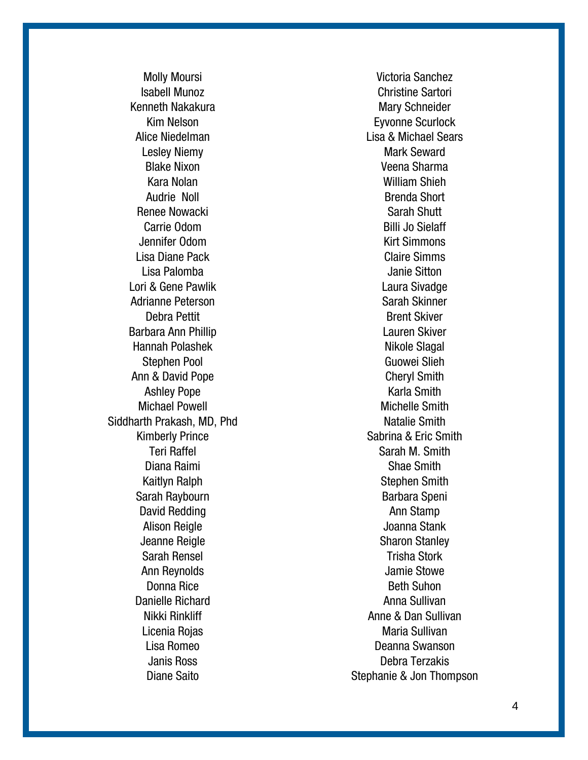Molly Moursi Isabell Munoz Kenneth Nakakura Kim Nelson Alice Niedelman Lesley Niemy Blake Nixon Kara Nolan Audrie Noll Renee Nowacki Carrie Odom Jennifer Odom Lisa Diane Pack Lisa Palomba Lori & Gene Pawlik Adrianne Peterson Debra Pettit Barbara Ann Phillip Hannah Polashek Stephen Pool Ann & David Pope Ashley Pope Michael Powell Siddharth Prakash, MD, Phd Kimberly Prince Teri Raffel Diana Raimi Kaitlyn Ralph Sarah Raybourn David Redding Alison Reigle Jeanne Reigle Sarah Rensel Ann Reynolds Donna Rice Danielle Richard Nikki Rinkliff Licenia Rojas Lisa Romeo Janis Ross Diane Saito

Victoria Sanchez Christine Sartori Mary Schneider Eyvonne Scurlock Lisa & Michael Sears Mark Seward Veena Sharma William Shieh Brenda Short Sarah Shutt Billi Jo Sielaff Kirt Simmons Claire Simms Janie Sitton Laura Sivadge Sarah Skinner Brent Skiver Lauren Skiver Nikole Slagal Guowei Slieh Cheryl Smith Karla Smith Michelle Smith Natalie Smith Sabrina & Eric Smith Sarah M. Smith Shae Smith Stephen Smith Barbara Speni Ann Stamp Joanna Stank Sharon Stanley Trisha Stork Jamie Stowe Beth Suhon Anna Sullivan Anne & Dan Sullivan Maria Sullivan Deanna Swanson Debra Terzakis Stephanie & Jon Thompson